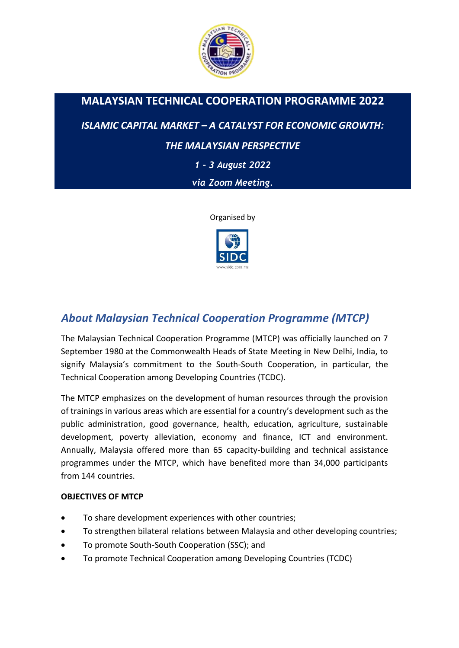

# **MALAYSIAN TECHNICAL COOPERATION PROGRAMME 2022**

*ISLAMIC CAPITAL MARKET – A CATALYST FOR ECONOMIC GROWTH:* 

# *THE MALAYSIAN PERSPECTIVE*

*1 – 3 August 2022*

*via Zoom Meeting.*

Organised by



# *About Malaysian Technical Cooperation Programme (MTCP)*

The Malaysian Technical Cooperation Programme (MTCP) was officially launched on 7 September 1980 at the Commonwealth Heads of State Meeting in New Delhi, India, to signify Malaysia's commitment to the South-South Cooperation, in particular, the Technical Cooperation among Developing Countries (TCDC).

The MTCP emphasizes on the development of human resources through the provision of trainings in various areas which are essential for a country's development such as the public administration, good governance, health, education, agriculture, sustainable development, poverty alleviation, economy and finance, ICT and environment. Annually, Malaysia offered more than 65 capacity-building and technical assistance programmes under the MTCP, which have benefited more than 34,000 participants from 144 countries.

## **OBJECTIVES OF MTCP**

- To share development experiences with other countries;
- To strengthen bilateral relations between Malaysia and other developing countries;
- To promote South-South Cooperation (SSC); and
- To promote Technical Cooperation among Developing Countries (TCDC)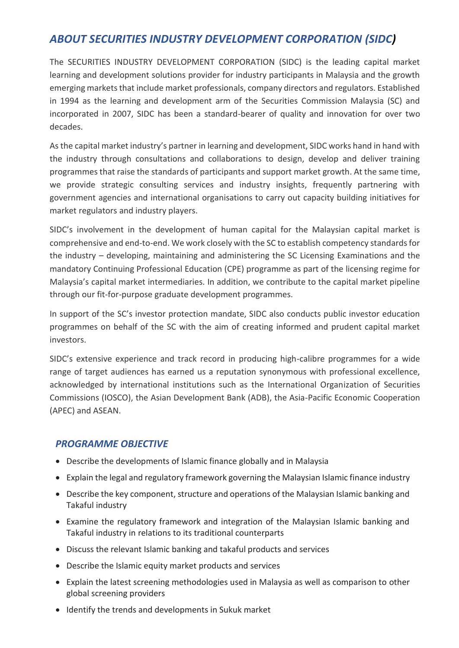# *ABOUT SECURITIES INDUSTRY DEVELOPMENT CORPORATION (SIDC)*

The SECURITIES INDUSTRY DEVELOPMENT CORPORATION (SIDC) is the leading capital market learning and development solutions provider for industry participants in Malaysia and the growth emerging markets that include market professionals, company directors and regulators. Established in 1994 as the learning and development arm of the Securities Commission Malaysia (SC) and incorporated in 2007, SIDC has been a standard-bearer of quality and innovation for over two decades.

As the capital market industry's partner in learning and development, SIDC works hand in hand with the industry through consultations and collaborations to design, develop and deliver training programmes that raise the standards of participants and support market growth. At the same time, we provide strategic consulting services and industry insights, frequently partnering with government agencies and international organisations to carry out capacity building initiatives for market regulators and industry players.

SIDC's involvement in the development of human capital for the Malaysian capital market is comprehensive and end-to-end. We work closely with the SC to establish competency standards for the industry – developing, maintaining and administering the SC Licensing Examinations and the mandatory Continuing Professional Education (CPE) programme as part of the licensing regime for Malaysia's capital market intermediaries. In addition, we contribute to the capital market pipeline through our fit-for-purpose graduate development programmes.

In support of the SC's investor protection mandate, SIDC also conducts public investor education programmes on behalf of the SC with the aim of creating informed and prudent capital market investors.

SIDC's extensive experience and track record in producing high-calibre programmes for a wide range of target audiences has earned us a reputation synonymous with professional excellence, acknowledged by international institutions such as the International Organization of Securities Commissions (IOSCO), the Asian Development Bank (ADB), the Asia-Pacific Economic Cooperation (APEC) and ASEAN.

# *PROGRAMME OBJECTIVE*

- Describe the developments of Islamic finance globally and in Malaysia
- Explain the legal and regulatory framework governing the Malaysian Islamic finance industry
- Describe the key component, structure and operations of the Malaysian Islamic banking and Takaful industry
- Examine the regulatory framework and integration of the Malaysian Islamic banking and Takaful industry in relations to its traditional counterparts
- Discuss the relevant Islamic banking and takaful products and services
- Describe the Islamic equity market products and services
- Explain the latest screening methodologies used in Malaysia as well as comparison to other global screening providers
- Identify the trends and developments in Sukuk market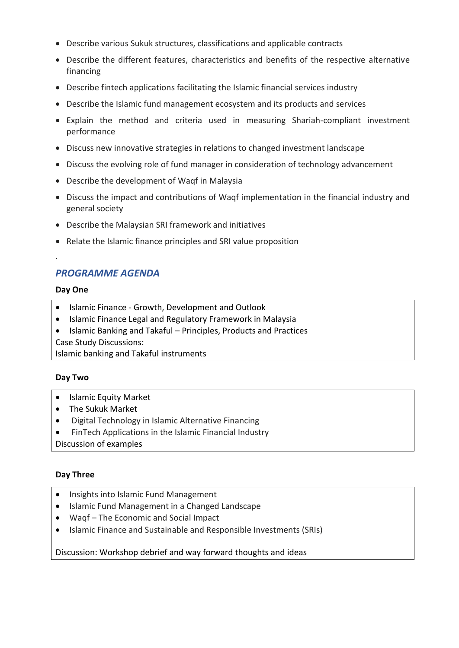- Describe various Sukuk structures, classifications and applicable contracts
- Describe the different features, characteristics and benefits of the respective alternative financing
- Describe fintech applications facilitating the Islamic financial services industry
- Describe the Islamic fund management ecosystem and its products and services
- Explain the method and criteria used in measuring Shariah-compliant investment performance
- Discuss new innovative strategies in relations to changed investment landscape
- Discuss the evolving role of fund manager in consideration of technology advancement
- Describe the development of Waqf in Malaysia
- Discuss the impact and contributions of Waqf implementation in the financial industry and general society
- Describe the Malaysian SRI framework and initiatives
- Relate the Islamic finance principles and SRI value proposition

# *PROGRAMME AGENDA*

#### **Day One**

.

- Islamic Finance Growth, Development and Outlook
- Islamic Finance Legal and Regulatory Framework in Malaysia
- Islamic Banking and Takaful Principles, Products and Practices Case Study Discussions:

Islamic banking and Takaful instruments

#### **Day Two**

- Islamic Equity Market
- The Sukuk Market
- Digital Technology in Islamic Alternative Financing
- FinTech Applications in the Islamic Financial Industry

Discussion of examples

## **Day Three**

- Insights into Islamic Fund Management
- Islamic Fund Management in a Changed Landscape
- Waqf The Economic and Social Impact
- Islamic Finance and Sustainable and Responsible Investments (SRIs)

#### Discussion: Workshop debrief and way forward thoughts and ideas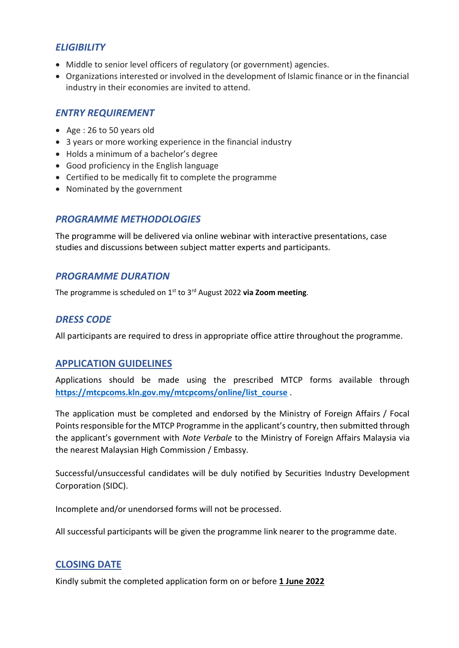# *ELIGIBILITY*

- Middle to senior level officers of regulatory (or government) agencies.
- Organizations interested or involved in the development of Islamic finance or in the financial industry in their economies are invited to attend.

# *ENTRY REQUIREMENT*

- Age : 26 to 50 years old
- 3 years or more working experience in the financial industry
- Holds a minimum of a bachelor's degree
- Good proficiency in the English language
- Certified to be medically fit to complete the programme
- Nominated by the government

## *PROGRAMME METHODOLOGIES*

The programme will be delivered via online webinar with interactive presentations, case studies and discussions between subject matter experts and participants.

## *PROGRAMME DURATION*

The programme is scheduled on 1 st to 3rd August 2022 **via Zoom meeting**.

# *DRESS CODE*

All participants are required to dress in appropriate office attire throughout the programme.

## **APPLICATION GUIDELINES**

Applications should be made using the prescribed MTCP forms available through **[https://mtcpcoms.kln.gov.my/mtcpcoms/online/list\\_course](https://mtcpcoms.kln.gov.my/mtcpcoms/online/list_course)** .

The application must be completed and endorsed by the Ministry of Foreign Affairs / Focal Points responsible for the MTCP Programme in the applicant's country, then submitted through the applicant's government with *Note Verbale* to the Ministry of Foreign Affairs Malaysia via the nearest Malaysian High Commission / Embassy.

Successful/unsuccessful candidates will be duly notified by Securities Industry Development Corporation (SIDC).

Incomplete and/or unendorsed forms will not be processed.

All successful participants will be given the programme link nearer to the programme date.

## **CLOSING DATE**

Kindly submit the completed application form on or before **1 June 2022**